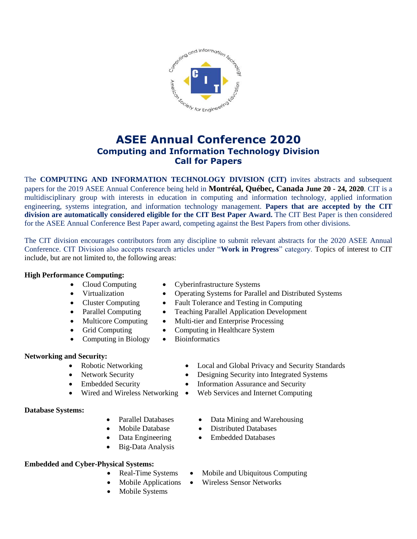

# **ASEE Annual Conference 2020 Computing and Information Technology Division Call for Papers**

The **COMPUTING AND INFORMATION TECHNOLOGY DIVISION (CIT)** invites abstracts and subsequent papers for the 2019 ASEE Annual Conference being held in **Montréal, Québec, Canada June 20 - 24, 2020**. CIT is a multidisciplinary group with interests in education in computing and information technology, applied information engineering, systems integration, and information technology management. **Papers that are accepted by the CIT division are automatically considered eligible for the CIT Best Paper Award.** The CIT Best Paper is then considered for the ASEE Annual Conference Best Paper award, competing against the Best Papers from other divisions.

The CIT division encourages contributors from any discipline to submit relevant abstracts for the 2020 ASEE Annual Conference. CIT Division also accepts research articles under "**Work in Progress**" category. Topics of interest to CIT include, but are not limited to, the following areas:

#### **High Performance Computing:**

- 
- Cloud Computing Cyberinfrastructure Systems
	- Virtualization Operating Systems for Parallel and Distributed Systems
- Cluster Computing Fault Tolerance and Testing in Computing
- Parallel Computing Teaching Parallel Application Development
- Multicore Computing Multi-tier and Enterprise Processing
- Grid Computing Computing in Healthcare System
- Computing in Biology Bioinformatics

## **Networking and Security:**

- 
- 
- 
- 

## **Database Systems:**

- 
- 
- 
- Big-Data Analysis

# **Embedded and Cyber-Physical Systems:**

- 
- 
- Mobile Systems
- Robotic Networking Local and Global Privacy and Security Standards
- Network Security Designing Security into Integrated Systems
	- Information Assurance and Security Information Assurance and Security
	- Wired and Wireless Networking Web Services and Internet Computing
		- Parallel Databases Data Mining and Warehousing
		- Mobile Database Distributed Databases
		- Data Engineering Embedded Databases
		- Real-Time Systems Mobile and Ubiquitous Computing
		- Mobile Applications Wireless Sensor Networks